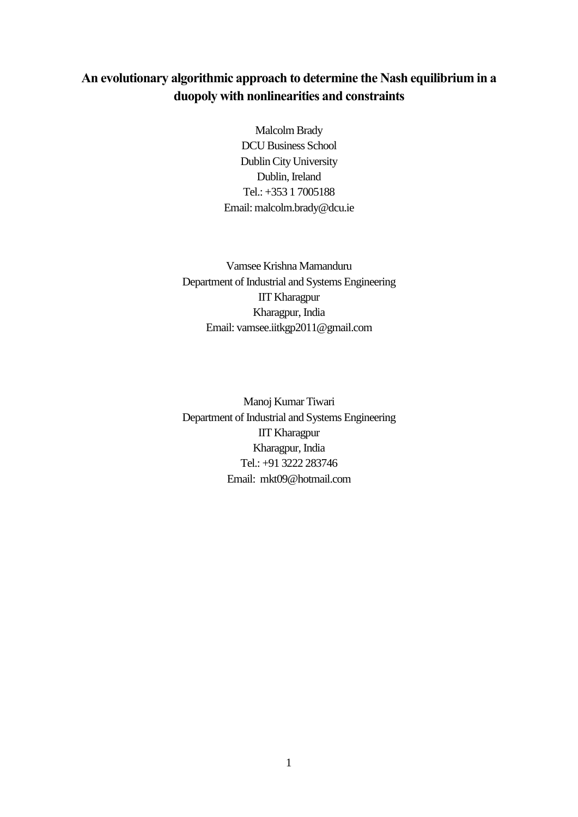# **An evolutionary algorithmic approach to determine the Nash equilibrium in a duopoly with nonlinearities and constraints**

Malcolm Brady DCU Business School Dublin City University Dublin, Ireland Tel.: +353 1 7005188 Email: malcolm.brady@dcu.ie

Vamsee Krishna Mamanduru Department of Industrial and Systems Engineering IIT Kharagpur Kharagpur, India Email: vamsee.iitkgp2011@gmail.com

Manoj Kumar Tiwari Department of Industrial and Systems Engineering IIT Kharagpur Kharagpur, India Tel.: +91 3222 283746 Email: mkt09@hotmail.com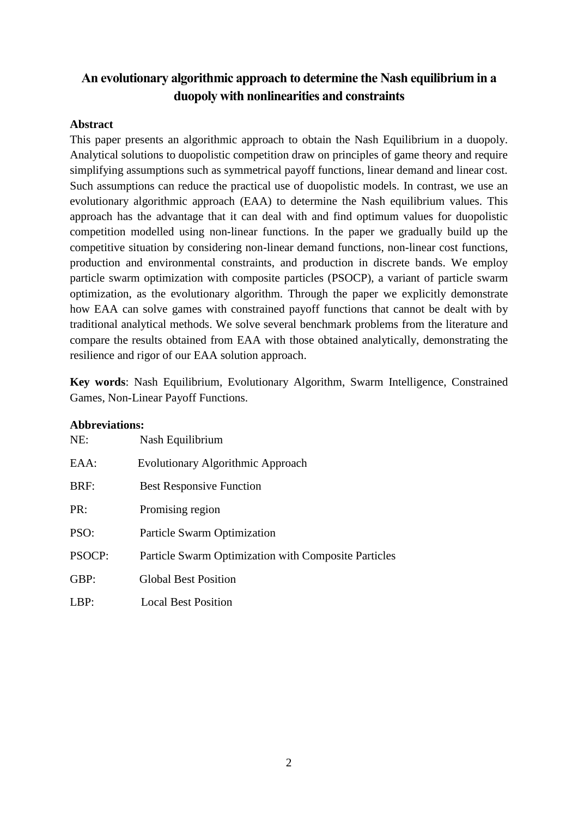# **An evolutionary algorithmic approach to determine the Nash equilibrium in a duopoly with nonlinearities and constraints**

# **Abstract**

This paper presents an algorithmic approach to obtain the Nash Equilibrium in a duopoly. Analytical solutions to duopolistic competition draw on principles of game theory and require simplifying assumptions such as symmetrical payoff functions, linear demand and linear cost. Such assumptions can reduce the practical use of duopolistic models. In contrast, we use an evolutionary algorithmic approach (EAA) to determine the Nash equilibrium values. This approach has the advantage that it can deal with and find optimum values for duopolistic competition modelled using non-linear functions. In the paper we gradually build up the competitive situation by considering non-linear demand functions, non-linear cost functions, production and environmental constraints, and production in discrete bands. We employ particle swarm optimization with composite particles (PSOCP), a variant of particle swarm optimization, as the evolutionary algorithm. Through the paper we explicitly demonstrate how EAA can solve games with constrained payoff functions that cannot be dealt with by traditional analytical methods. We solve several benchmark problems from the literature and compare the results obtained from EAA with those obtained analytically, demonstrating the resilience and rigor of our EAA solution approach.

**Key words**: Nash Equilibrium, Evolutionary Algorithm, Swarm Intelligence, Constrained Games, Non-Linear Payoff Functions.

# **Abbreviations:**

| NE:    | Nash Equilibrium                                     |
|--------|------------------------------------------------------|
| EAA:   | Evolutionary Algorithmic Approach                    |
| BRF:   | <b>Best Responsive Function</b>                      |
| PR:    | Promising region                                     |
| PSO:   | <b>Particle Swarm Optimization</b>                   |
| PSOCP: | Particle Swarm Optimization with Composite Particles |
| GBP:   | <b>Global Best Position</b>                          |
| LBP:   | <b>Local Best Position</b>                           |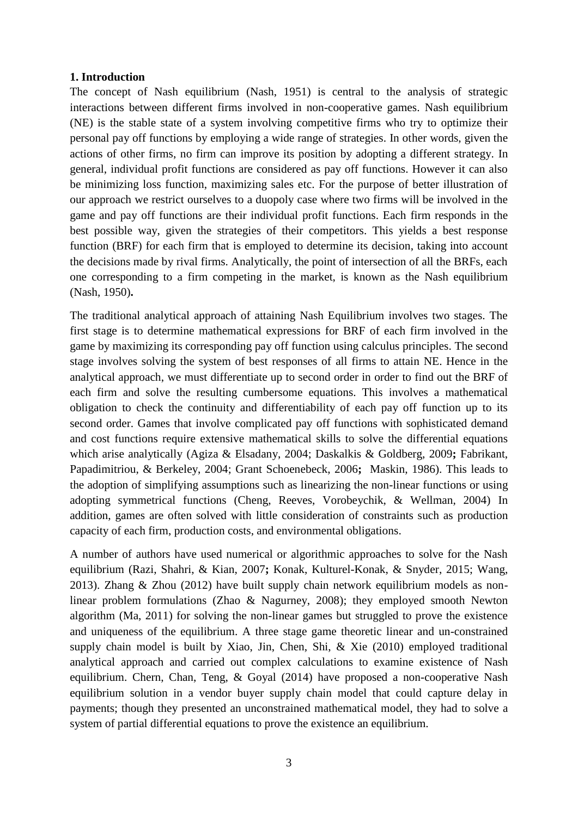# **1. Introduction**

The concept of Nash equilibrium (Nash, 1951) is central to the analysis of strategic interactions between different firms involved in non-cooperative games. Nash equilibrium (NE) is the stable state of a system involving competitive firms who try to optimize their personal pay off functions by employing a wide range of strategies. In other words, given the actions of other firms, no firm can improve its position by adopting a different strategy. In general, individual profit functions are considered as pay off functions. However it can also be minimizing loss function, maximizing sales etc. For the purpose of better illustration of our approach we restrict ourselves to a duopoly case where two firms will be involved in the game and pay off functions are their individual profit functions. Each firm responds in the best possible way, given the strategies of their competitors. This yields a best response function (BRF) for each firm that is employed to determine its decision, taking into account the decisions made by rival firms. Analytically, the point of intersection of all the BRFs, each one corresponding to a firm competing in the market, is known as the Nash equilibrium (Nash, 1950)**.** 

The traditional analytical approach of attaining Nash Equilibrium involves two stages. The first stage is to determine mathematical expressions for BRF of each firm involved in the game by maximizing its corresponding pay off function using calculus principles. The second stage involves solving the system of best responses of all firms to attain NE. Hence in the analytical approach, we must differentiate up to second order in order to find out the BRF of each firm and solve the resulting cumbersome equations. This involves a mathematical obligation to check the continuity and differentiability of each pay off function up to its second order. Games that involve complicated pay off functions with sophisticated demand and cost functions require extensive mathematical skills to solve the differential equations which arise analytically (Agiza & Elsadany, 2004; Daskalkis & Goldberg, 2009**;** Fabrikant, Papadimitriou, & Berkeley, 2004; Grant Schoenebeck, 2006**;** Maskin, 1986). This leads to the adoption of simplifying assumptions such as linearizing the non-linear functions or using adopting symmetrical functions (Cheng, Reeves, Vorobeychik, & Wellman, 2004) In addition, games are often solved with little consideration of constraints such as production capacity of each firm, production costs, and environmental obligations.

A number of authors have used numerical or algorithmic approaches to solve for the Nash equilibrium (Razi, Shahri, & Kian, 2007**;** Konak, Kulturel-Konak, & Snyder, 2015; Wang, 2013). Zhang & Zhou (2012) have built supply chain network equilibrium models as nonlinear problem formulations (Zhao & Nagurney, 2008); they employed smooth Newton algorithm (Ma, 2011) for solving the non-linear games but struggled to prove the existence and uniqueness of the equilibrium. A three stage game theoretic linear and un-constrained supply chain model is built by Xiao, Jin, Chen, Shi, & Xie (2010) employed traditional analytical approach and carried out complex calculations to examine existence of Nash equilibrium. Chern, Chan, Teng, & Goyal (2014) have proposed a non-cooperative Nash equilibrium solution in a vendor buyer supply chain model that could capture delay in payments; though they presented an unconstrained mathematical model, they had to solve a system of partial differential equations to prove the existence an equilibrium.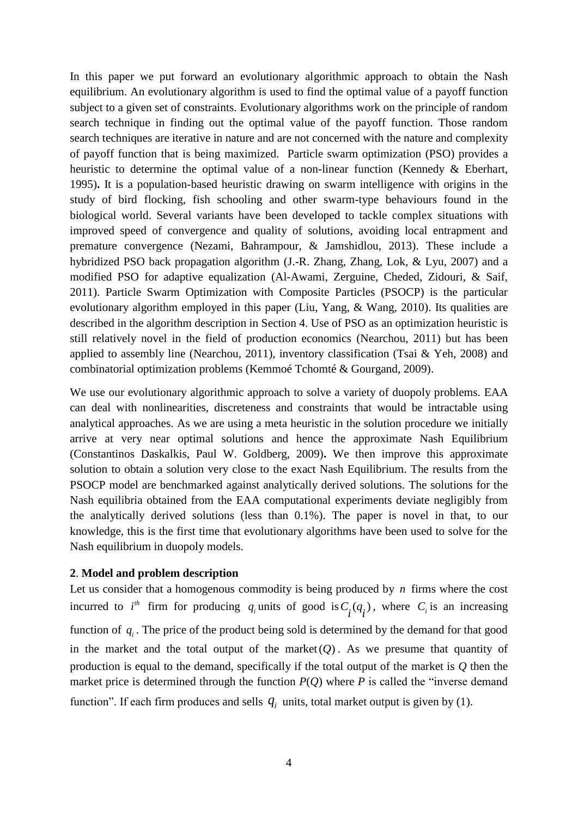In this paper we put forward an evolutionary algorithmic approach to obtain the Nash equilibrium. An evolutionary algorithm is used to find the optimal value of a payoff function subject to a given set of constraints. Evolutionary algorithms work on the principle of random search technique in finding out the optimal value of the payoff function. Those random search techniques are iterative in nature and are not concerned with the nature and complexity of payoff function that is being maximized. Particle swarm optimization (PSO) provides a heuristic to determine the optimal value of a non-linear function (Kennedy & Eberhart, 1995)**.** It is a population-based heuristic drawing on swarm intelligence with origins in the study of bird flocking, fish schooling and other swarm-type behaviours found in the biological world. Several variants have been developed to tackle complex situations with improved speed of convergence and quality of solutions, avoiding local entrapment and premature convergence (Nezami, Bahrampour, & Jamshidlou, 2013). These include a hybridized PSO back propagation algorithm (J.-R. Zhang, Zhang, Lok, & Lyu, 2007) and a modified PSO for adaptive equalization (Al-Awami, Zerguine, Cheded, Zidouri, & Saif, 2011). Particle Swarm Optimization with Composite Particles (PSOCP) is the particular evolutionary algorithm employed in this paper (Liu, Yang, & Wang, 2010). Its qualities are described in the algorithm description in Section 4. Use of PSO as an optimization heuristic is still relatively novel in the field of production economics (Nearchou, 2011) but has been applied to assembly line (Nearchou, 2011), inventory classification (Tsai & Yeh, 2008) and combinatorial optimization problems (Kemmoé Tchomté & Gourgand, 2009).

We use our evolutionary algorithmic approach to solve a variety of duopoly problems. EAA can deal with nonlinearities, discreteness and constraints that would be intractable using analytical approaches. As we are using a meta heuristic in the solution procedure we initially arrive at very near optimal solutions and hence the approximate Nash Equilibrium (Constantinos Daskalkis, Paul W. Goldberg, 2009)**.** We then improve this approximate solution to obtain a solution very close to the exact Nash Equilibrium. The results from the PSOCP model are benchmarked against analytically derived solutions. The solutions for the Nash equilibria obtained from the EAA computational experiments deviate negligibly from the analytically derived solutions (less than 0.1%). The paper is novel in that, to our knowledge, this is the first time that evolutionary algorithms have been used to solve for the Nash equilibrium in duopoly models.

#### **2**. **Model and problem description**

Let us consider that a homogenous commodity is being produced by  $n$  firms where the cost incurred to  $i^{\text{th}}$  firm for producing  $q_i$  units of good is  $C_i(q_i)$ , where  $C_i$  is an increasing function of  $q_i$ . The price of the product being sold is determined by the demand for that good in the market and the total output of the market  $(Q)$ . As we presume that quantity of production is equal to the demand, specifically if the total output of the market is *Q* then the market price is determined through the function  $P(Q)$  where  $P$  is called the "inverse demand" function". If each firm produces and sells  $q_i$  units, total market output is given by (1).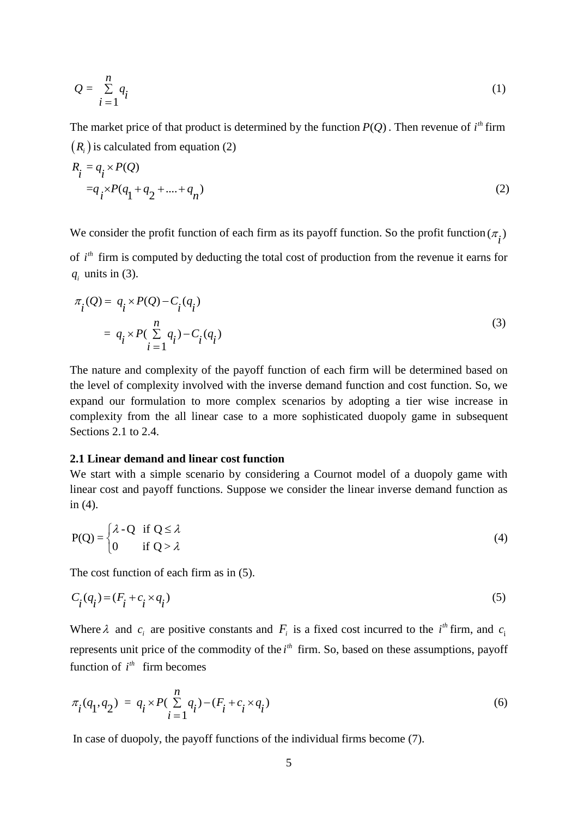$$
Q = \sum_{i=1}^{n} q_i
$$
 (1)

The market price of that product is determined by the function  $P(Q)$ . Then revenue of  $i<sup>th</sup>$  firm  $(R<sub>i</sub>)$  is calculated from equation (2) The market pri<br>  $(R_i)$  is calculat<br>  $R_i = q_i \times P(Q)$ <br>  $= a \times P(a + 1)$ 

$$
(Ri) is calculated from equation (2)
$$
  
\n
$$
Ri = qi × P(Q)
$$
  
\n
$$
= qi × P(q1 + q2 + .... + qn)
$$
 (2)

We consider the profit function of each firm as its payoff function. So the profit function  $(\pi_i)$ of  $i<sup>th</sup>$  firm is computed by deducting the total cost of production from the revenue it earns for  $q_i$  units in (3).

$$
\pi_i(Q) = q_i \times P(Q) - C_i(q_i)
$$
\n
$$
= q_i \times P(\sum_{i=1}^n q_i) - C_i(q_i)
$$
\n(3)

The nature and complexity of the payoff function of each firm will be determined based on the level of complexity involved with the inverse demand function and cost function. So, we expand our formulation to more complex scenarios by adopting a tier wise increase in complexity from the all linear case to a more sophisticated duopoly game in subsequent Sections 2.1 to 2.4.

### **2.1 Linear demand and linear cost function**

We start with a simple scenario by considering a Cournot model of a duopoly game with linear cost and payoff functions. Suppose we consider the linear inverse demand function as in (4).

$$
P(Q) = \begin{cases} \lambda - Q & \text{if } Q \le \lambda \\ 0 & \text{if } Q > \lambda \end{cases}
$$
 (4)

The cost function of each firm as in (5).

$$
C_i(q_i) = (F_i + c_i \times q_i) \tag{5}
$$

Where  $\lambda$  and  $c_i$  are positive constants and  $F_i$  is a fixed cost incurred to the *i*<sup>th</sup> firm, and  $c_i$ represents unit price of the commodity of the  $i<sup>th</sup>$  firm. So, based on these assumptions, payoff function of  $i^{th}$  firm becomes

$$
\pi_i(q_1, q_2) = q_i \times P(\sum_{i=1}^n q_i) - (F_i + c_i \times q_i)
$$
\n(6)

In case of duopoly, the payoff functions of the individual firms become (7).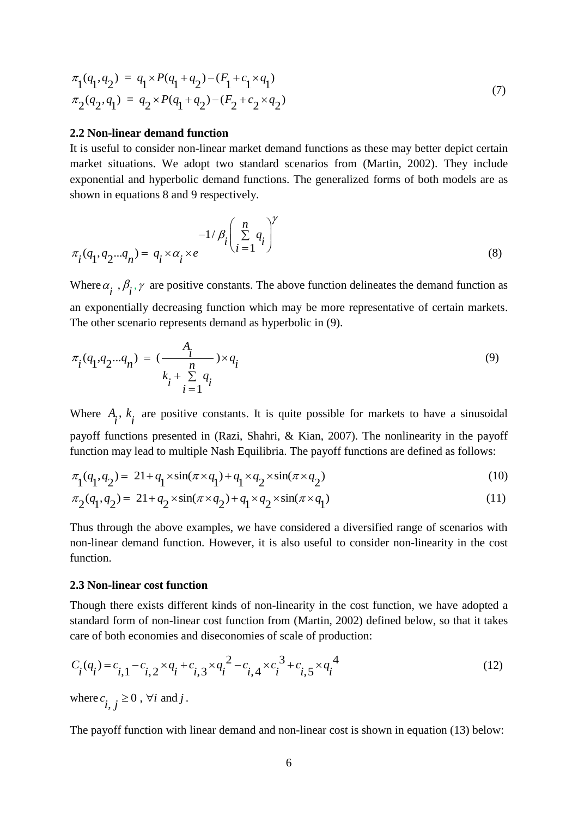$$
\pi_1(q_1, q_2) = q_1 \times P(q_1 + q_2) - (F_1 + c_1 \times q_1) \n\pi_2(q_2, q_1) = q_2 \times P(q_1 + q_2) - (F_2 + c_2 \times q_2)
$$
\n(7)

#### **2.2 Non-linear demand function**

It is useful to consider non-linear market demand functions as these may better depict certain market situations. We adopt two standard scenarios from (Martin, 2002). They include exponential and hyperbolic demand functions. The generalized forms of both models are as shown in equations 8 and 9 respectively.

$$
\tau_i(q_1, q_2 \dots q_n) = q_i \times \alpha_i \times e^{-1/\beta_i \left(\sum\limits_{i=1}^n q_i\right)^{\gamma}}
$$
\n(8)

Where  $\alpha_i$ ,  $\beta_i$ ,  $\gamma$  are positive constants. The above function delineates the demand function as an exponentially decreasing function which may be more representative of certain markets. The other scenario represents demand as hyperbolic in (9).

$$
\pi_i(q_1, q_2 \dots q_n) = \left(\frac{A_i}{\sum_{i=1}^n q_i}\right) \times q_i \tag{9}
$$

Where  $A_i$ ,  $k_i$  are positive constants. It is quite possible for markets to have a sinusoidal payoff functions presented in (Razi, Shahri, & Kian, 2007). The nonlinearity in the payoff

function may lead to multiple Nash Equilibria. The payoff functions are defined as follows:  
\n
$$
\pi_1(q_1, q_2) = 21 + q_1 \times \sin(\pi \times q_1) + q_1 \times q_2 \times \sin(\pi \times q_2)
$$
\n(10)

$$
\pi_1(q_1, q_2) = 21 + q_1 \times \sin(\pi \times q_1) + q_1 \times q_2 \times \sin(\pi \times q_2)
$$
\n
$$
\pi_2(q_1, q_2) = 21 + q_2 \times \sin(\pi \times q_2) + q_1 \times q_2 \times \sin(\pi \times q_1)
$$
\n(11)

Thus through the above examples, we have considered a diversified range of scenarios with non-linear demand function. However, it is also useful to consider non-linearity in the cost function.

#### **2.3 Non-linear cost function**

Though there exists different kinds of non-linearity in the cost function, we have adopted a standard form of non-linear cost function from (Martin, 2002) defined below, so that it takes

care of both economics and discoveries of scale of production:  
\n
$$
C_i(q_i) = c_{i,1} - c_{i,2} \times q_i + c_{i,3} \times q_i^2 - c_{i,4} \times c_i^3 + c_{i,5} \times q_i^4
$$
\n(12)

where  $c_{i,j} \geq 0$ ,  $\forall i$  and j.

The payoff function with linear demand and non-linear cost is shown in equation (13) below: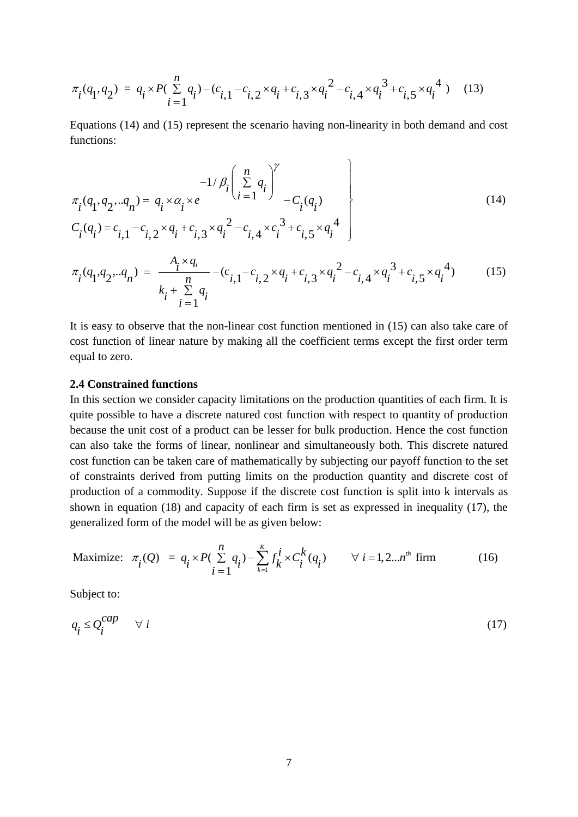$$
\pi_i(q_1, q_2) = q_i \times P(\sum_{i=1}^n q_i) - (c_{i,1} - c_{i,2} \times q_i + c_{i,3} \times q_i^2 - c_{i,4} \times q_i^3 + c_{i,5} \times q_i^4) \tag{13}
$$

Equations (14) and (15) represent the scenario having non-linearity in both demand and cost functions:

functions:  
\n
$$
\pi_i(q_1, q_2...q_n) = q_i \times \alpha_i \times e
$$
\n
$$
C_i(q_i) = c_{i,1} - c_{i,2} \times q_i + c_{i,3} \times q_i^2 - c_{i,4} \times c_i^3 + c_{i,5} \times q_i^4
$$
\n
$$
\pi_i(q_1, q_2...q_i) = \frac{A_i \times q_i}{\pi_i(q_1, q_2...q_i)} = \frac{A_i \times q_i}{\pi_i(q_1, q_2...q_i)} - (c_{i,1} - c_{i,2} \times q_i + c_{i,3} \times q_i^2 - c_{i,4} \times q_i^3 + c_{i,5} \times q_i^4)
$$
\n(15)

$$
C_i(q_i) = c_{i,1} - c_{i,2} \times q_i + c_{i,3} \times q_i^2 - c_{i,4} \times c_i^3 + c_{i,5} \times q_i^4
$$
  

$$
\pi_i(q_1, q_2 \dots q_n) = \frac{A_i \times q_i}{\sum_{i=1}^n q_i} - (c_{i,1} - c_{i,2} \times q_i + c_{i,3} \times q_i^2 - c_{i,4} \times q_i^3 + c_{i,5} \times q_i^4) \tag{15}
$$

It is easy to observe that the non-linear cost function mentioned in (15) can also take care of cost function of linear nature by making all the coefficient terms except the first order term equal to zero.

#### **2.4 Constrained functions**

In this section we consider capacity limitations on the production quantities of each firm. It is quite possible to have a discrete natured cost function with respect to quantity of production because the unit cost of a product can be lesser for bulk production. Hence the cost function can also take the forms of linear, nonlinear and simultaneously both. This discrete natured cost function can be taken care of mathematically by subjecting our payoff function to the set of constraints derived from putting limits on the production quantity and discrete cost of production of a commodity. Suppose if the discrete cost function is split into k intervals as shown in equation (18) and capacity of each firm is set as expressed in inequality (17), the generalized form of the model will be as given below:

Maximize: 
$$
\pi_i(Q) = q_i \times P(\sum_{i=1}^n q_i) - \sum_{k=1}^K f_k^i \times C_i^k(q_i) \quad \forall i = 1, 2...n^{th}
$$
 firm (16)

Subject to:

$$
q_i \le Q_i^{cap} \qquad \forall i
$$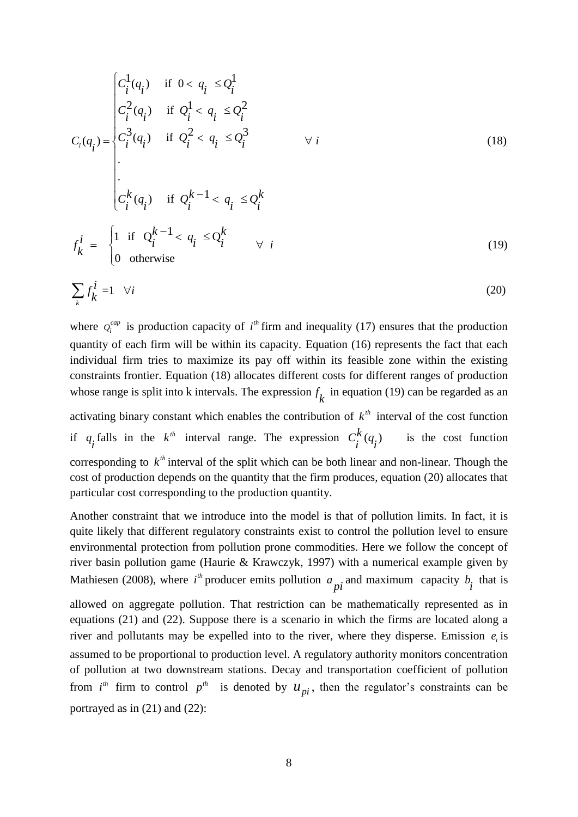$$
C_i(q_i) = \begin{cases} C_i^1(q_i) & \text{if } 0 < q_i \le Q_i^1 \\ C_i^2(q_i) & \text{if } Q_i^1 < q_i \le Q_i^2 \\ C_i^3(q_i) & \text{if } Q_i^2 < q_i \le Q_i^3 \\ \vdots & & \vdots \\ C_i^k(q_i) & \text{if } Q_i^{k-1} < q_i \le Q_i^k \\ f_k^i = \begin{cases} 1 & \text{if } Q_i^{k-1} < q_i \le Q_i^k \\ 0 & \text{otherwise} \end{cases} \quad \forall i \tag{19}
$$

$$
\sum_{k} f_k^i = 1 \quad \forall i
$$

where  $Q_i^{cap}$  is production capacity of  $i^{th}$  firm and inequality (17) ensures that the production quantity of each firm will be within its capacity. Equation (16) represents the fact that each individual firm tries to maximize its pay off within its feasible zone within the existing constraints frontier. Equation (18) allocates different costs for different ranges of production whose range is split into k intervals. The expression  $f_k$  in equation (19) can be regarded as an

activating binary constant which enables the contribution of  $k^{th}$  interval of the cost function if  $q_i$  falls in the  $k^{th}$  interval range. The expression  $C_i^k(q_i)$  is the cost function corresponding to  $k^{th}$  interval of the split which can be both linear and non-linear. Though the cost of production depends on the quantity that the firm produces, equation (20) allocates that particular cost corresponding to the production quantity.

Another constraint that we introduce into the model is that of pollution limits. In fact, it is quite likely that different regulatory constraints exist to control the pollution level to ensure environmental protection from pollution prone commodities. Here we follow the concept of river basin pollution game (Haurie & Krawczyk, 1997) with a numerical example given by Mathiesen (2008), where  $i^{th}$  producer emits pollution  $a_{pi}$  and maximum capacity  $b_i$  that is allowed on aggregate pollution. That restriction can be mathematically represented as in equations (21) and (22). Suppose there is a scenario in which the firms are located along a river and pollutants may be expelled into to the river, where they disperse. Emission  $e_i$  is assumed to be proportional to production level. A regulatory authority monitors concentration of pollution at two downstream stations. Decay and transportation coefficient of pollution from  $i^h$  firm to control  $p^h$  is denoted by  $u_{pi}$ , then the regulator's constraints can be portrayed as in (21) and (22):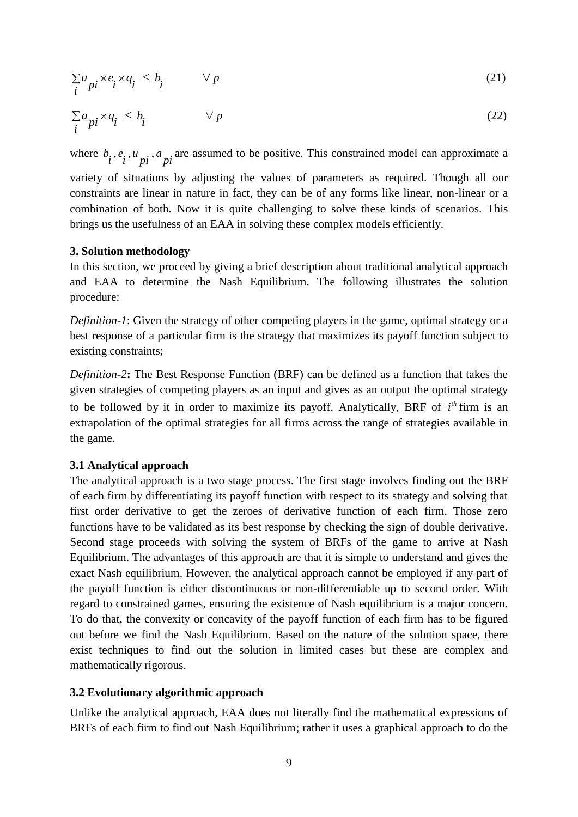$$
\sum_{i} u_{pi} \times e_i \times q_i \leq b_i \qquad \forall p
$$
\n(21)

$$
\sum_{i} a_{pi} \times q_i \le b_i \qquad \forall p \tag{22}
$$

where  $b_i$ ,  $e_i$ ,  $u_{pi}$ ,  $a_{pi}$  are assumed to be positive. This constrained model can approximate a variety of situations by adjusting the values of parameters as required. Though all our constraints are linear in nature in fact, they can be of any forms like linear, non-linear or a combination of both. Now it is quite challenging to solve these kinds of scenarios. This brings us the usefulness of an EAA in solving these complex models efficiently.

### **3. Solution methodology**

In this section, we proceed by giving a brief description about traditional analytical approach and EAA to determine the Nash Equilibrium. The following illustrates the solution procedure:

*Definition-1*: Given the strategy of other competing players in the game, optimal strategy or a best response of a particular firm is the strategy that maximizes its payoff function subject to existing constraints;

*Definition-2***:** The Best Response Function (BRF) can be defined as a function that takes the given strategies of competing players as an input and gives as an output the optimal strategy to be followed by it in order to maximize its payoff. Analytically, BRF of  $i<sup>th</sup>$  firm is an extrapolation of the optimal strategies for all firms across the range of strategies available in the game.

# **3.1 Analytical approach**

The analytical approach is a two stage process. The first stage involves finding out the BRF of each firm by differentiating its payoff function with respect to its strategy and solving that first order derivative to get the zeroes of derivative function of each firm. Those zero functions have to be validated as its best response by checking the sign of double derivative. Second stage proceeds with solving the system of BRFs of the game to arrive at Nash Equilibrium. The advantages of this approach are that it is simple to understand and gives the exact Nash equilibrium. However, the analytical approach cannot be employed if any part of the payoff function is either discontinuous or non-differentiable up to second order. With regard to constrained games, ensuring the existence of Nash equilibrium is a major concern. To do that, the convexity or concavity of the payoff function of each firm has to be figured out before we find the Nash Equilibrium. Based on the nature of the solution space, there exist techniques to find out the solution in limited cases but these are complex and mathematically rigorous.

#### **3.2 Evolutionary algorithmic approach**

Unlike the analytical approach, EAA does not literally find the mathematical expressions of BRFs of each firm to find out Nash Equilibrium; rather it uses a graphical approach to do the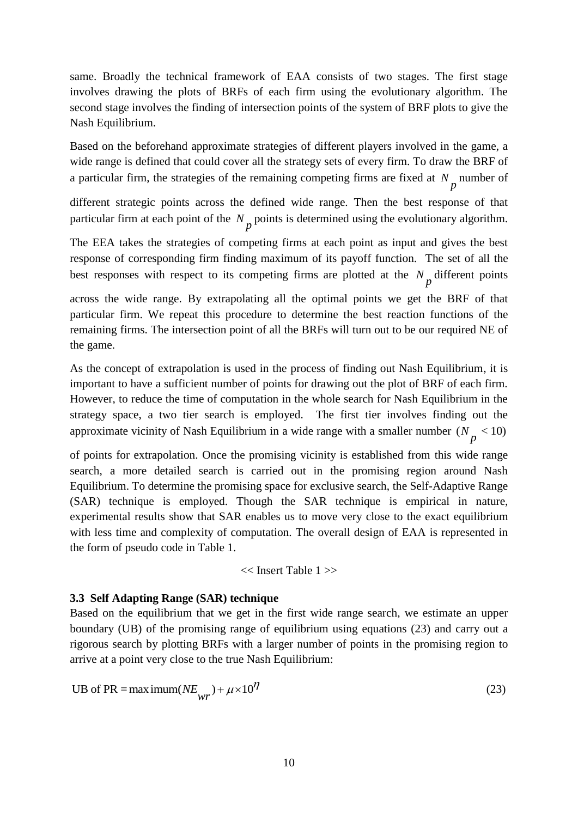same. Broadly the technical framework of EAA consists of two stages. The first stage involves drawing the plots of BRFs of each firm using the evolutionary algorithm. The second stage involves the finding of intersection points of the system of BRF plots to give the Nash Equilibrium.

Based on the beforehand approximate strategies of different players involved in the game, a wide range is defined that could cover all the strategy sets of every firm. To draw the BRF of a particular firm, the strategies of the remaining competing firms are fixed at  $N_p$  number of

different strategic points across the defined wide range. Then the best response of that particular firm at each point of the  $N_p$  points is determined using the evolutionary algorithm.

The EEA takes the strategies of competing firms at each point as input and gives the best response of corresponding firm finding maximum of its payoff function. The set of all the best responses with respect to its competing firms are plotted at the  $N_p$  different points

across the wide range. By extrapolating all the optimal points we get the BRF of that particular firm. We repeat this procedure to determine the best reaction functions of the remaining firms. The intersection point of all the BRFs will turn out to be our required NE of the game.

As the concept of extrapolation is used in the process of finding out Nash Equilibrium, it is important to have a sufficient number of points for drawing out the plot of BRF of each firm. However, to reduce the time of computation in the whole search for Nash Equilibrium in the strategy space, a two tier search is employed. The first tier involves finding out the approximate vicinity of Nash Equilibrium in a wide range with a smaller number  $(N_p < 10)$ 

of points for extrapolation. Once the promising vicinity is established from this wide range search, a more detailed search is carried out in the promising region around Nash Equilibrium. To determine the promising space for exclusive search, the Self-Adaptive Range (SAR) technique is employed. Though the SAR technique is empirical in nature, experimental results show that SAR enables us to move very close to the exact equilibrium with less time and complexity of computation. The overall design of EAA is represented in the form of pseudo code in Table 1.

<< Insert Table 1 >>

# **3.3 Self Adapting Range (SAR) technique**

Based on the equilibrium that we get in the first wide range search, we estimate an upper boundary (UB) of the promising range of equilibrium using equations (23) and carry out a rigorous search by plotting BRFs with a larger number of points in the promising region to arrive at a point very close to the true Nash Equilibrium:

UB of PR = maximum(
$$
NE_{wr}
$$
) +  $\mu \times 10^{77}$  (23)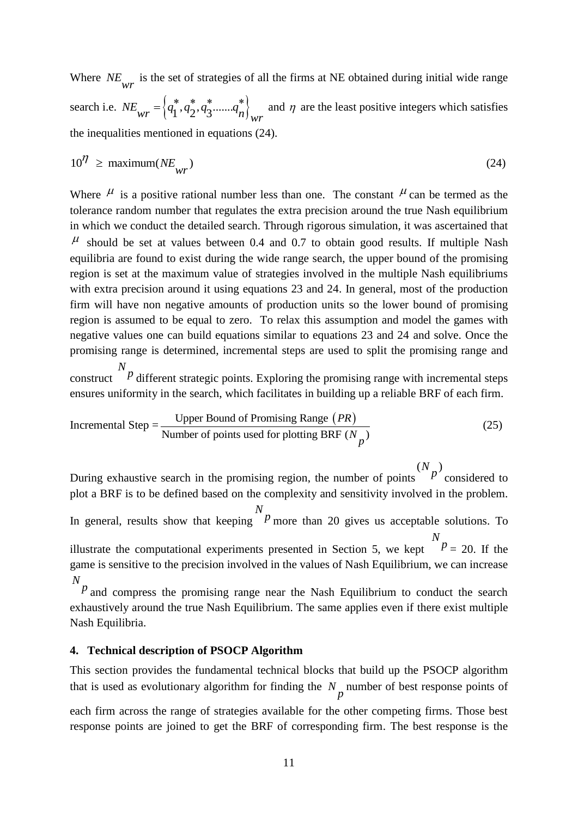Where  $NE_{\text{wr}}$  is the set of strategies of all the firms at NE obtained during initial wide range search i.e.  $NE_{wr} = \left\{q_1^*, q_2^*, q_3^*, \dots, q_n^*\right\}_{wr}$  and  $\eta$  are the least positive integers which satisfies the inequalities mentioned in equations (24).

$$
10^{\eta} \geq \text{maximum}(NE_{_{WF}}) \tag{24}
$$

Where  $\mu$  is a positive rational number less than one. The constant  $\mu$  can be termed as the tolerance random number that regulates the extra precision around the true Nash equilibrium in which we conduct the detailed search. Through rigorous simulation, it was ascertained that  $\mu$  should be set at values between 0.4 and 0.7 to obtain good results. If multiple Nash equilibria are found to exist during the wide range search, the upper bound of the promising region is set at the maximum value of strategies involved in the multiple Nash equilibriums with extra precision around it using equations 23 and 24. In general, most of the production firm will have non negative amounts of production units so the lower bound of promising region is assumed to be equal to zero. To relax this assumption and model the games with negative values one can build equations similar to equations 23 and 24 and solve. Once the promising range is determined, incremental steps are used to split the promising range and

construct *N*<br> *P* different strategic points. Exploring the promising range with incremental steps ensures uniformity in the search, which facilitates in building up a reliable BRF of each firm.

Incremental Step = 
$$
\frac{\text{Upper Bound of Promising Range } (PR)}{\text{Number of points used for plotting BRF } (N_p)}
$$
(25)

During exhaustive search in the promising region, the number of points  $\binom{N}{p}$  considered to plot a BRF is to be defined based on the complexity and sensitivity involved in the problem.

In general, results show that keeping  $N$  *p* more than 20 gives us acceptable solutions. To  $N$ <sup>*p*</sup> = 20. If the

illustrate the computational experiments presented in Section 5, we kept game is sensitive to the precision involved in the values of Nash Equilibrium, we can increase

 $N$ <br>*P* and compress the promising range near the Nash Equilibrium to conduct the search exhaustively around the true Nash Equilibrium. The same applies even if there exist multiple Nash Equilibria.

#### **4. Technical description of PSOCP Algorithm**

This section provides the fundamental technical blocks that build up the PSOCP algorithm that is used as evolutionary algorithm for finding the  $N_p$  number of best response points of

each firm across the range of strategies available for the other competing firms. Those best response points are joined to get the BRF of corresponding firm. The best response is the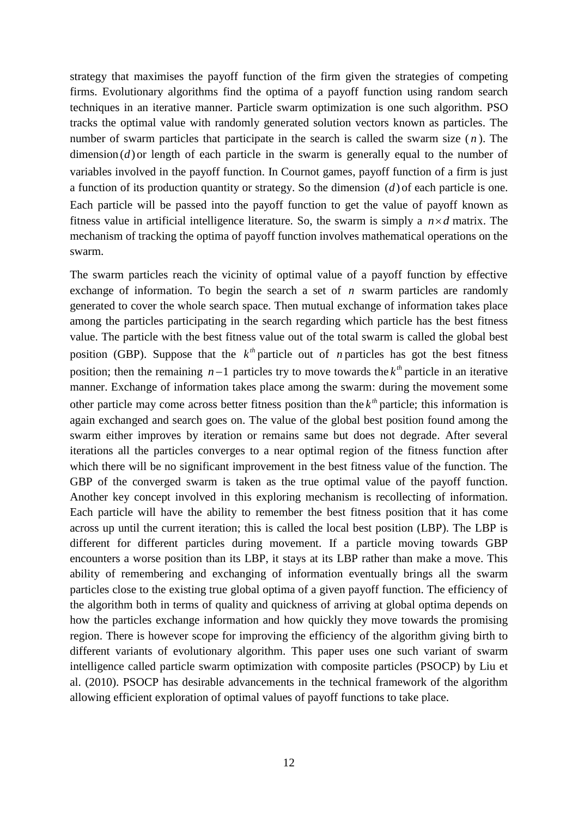strategy that maximises the payoff function of the firm given the strategies of competing firms. Evolutionary algorithms find the optima of a payoff function using random search techniques in an iterative manner. Particle swarm optimization is one such algorithm. PSO tracks the optimal value with randomly generated solution vectors known as particles. The number of swarm particles that participate in the search is called the swarm size ( *n* ). The dimension  $(d)$  or length of each particle in the swarm is generally equal to the number of variables involved in the payoff function. In Cournot games, payoff function of a firm is just a function of its production quantity or strategy. So the dimension  $(d)$  of each particle is one. Each particle will be passed into the payoff function to get the value of payoff known as fitness value in artificial intelligence literature. So, the swarm is simply a  $n \times d$  matrix. The mechanism of tracking the optima of payoff function involves mathematical operations on the swarm.

The swarm particles reach the vicinity of optimal value of a payoff function by effective exchange of information. To begin the search a set of  $n$  swarm particles are randomly generated to cover the whole search space. Then mutual exchange of information takes place among the particles participating in the search regarding which particle has the best fitness value. The particle with the best fitness value out of the total swarm is called the global best position (GBP). Suppose that the  $k^{th}$  particle out of *n* particles has got the best fitness position; then the remaining  $n-1$  particles try to move towards the  $k<sup>th</sup>$  particle in an iterative manner. Exchange of information takes place among the swarm: during the movement some other particle may come across better fitness position than the  $k<sup>th</sup>$  particle; this information is again exchanged and search goes on. The value of the global best position found among the swarm either improves by iteration or remains same but does not degrade. After several iterations all the particles converges to a near optimal region of the fitness function after which there will be no significant improvement in the best fitness value of the function. The GBP of the converged swarm is taken as the true optimal value of the payoff function. Another key concept involved in this exploring mechanism is recollecting of information. Each particle will have the ability to remember the best fitness position that it has come across up until the current iteration; this is called the local best position (LBP). The LBP is different for different particles during movement. If a particle moving towards GBP encounters a worse position than its LBP, it stays at its LBP rather than make a move. This ability of remembering and exchanging of information eventually brings all the swarm particles close to the existing true global optima of a given payoff function. The efficiency of the algorithm both in terms of quality and quickness of arriving at global optima depends on how the particles exchange information and how quickly they move towards the promising region. There is however scope for improving the efficiency of the algorithm giving birth to different variants of evolutionary algorithm. This paper uses one such variant of swarm intelligence called particle swarm optimization with composite particles (PSOCP) by Liu et al. (2010). PSOCP has desirable advancements in the technical framework of the algorithm allowing efficient exploration of optimal values of payoff functions to take place.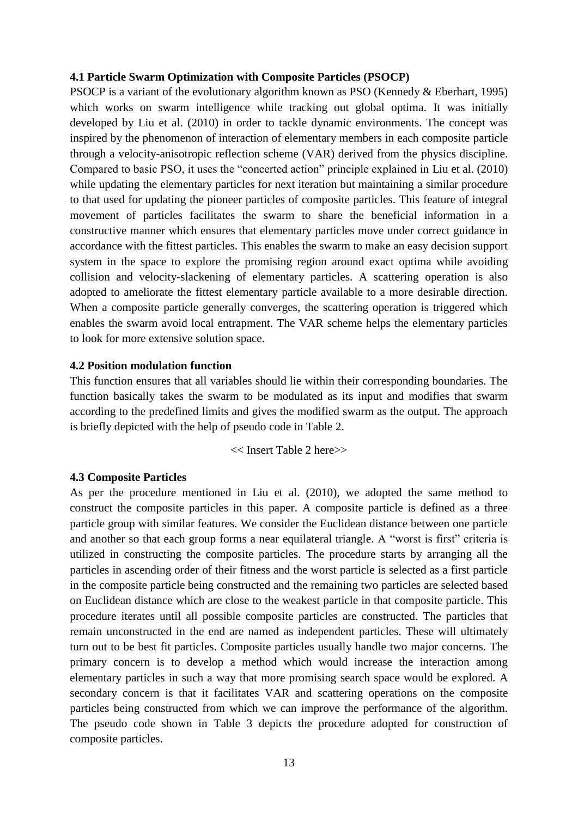#### **4.1 Particle Swarm Optimization with Composite Particles (PSOCP)**

PSOCP is a variant of the evolutionary algorithm known as PSO (Kennedy & Eberhart, 1995) which works on swarm intelligence while tracking out global optima. It was initially developed by Liu et al. (2010) in order to tackle dynamic environments. The concept was inspired by the phenomenon of interaction of elementary members in each composite particle through a velocity-anisotropic reflection scheme (VAR) derived from the physics discipline. Compared to basic PSO, it uses the "concerted action" principle explained in Liu et al. (2010) while updating the elementary particles for next iteration but maintaining a similar procedure to that used for updating the pioneer particles of composite particles. This feature of integral movement of particles facilitates the swarm to share the beneficial information in a constructive manner which ensures that elementary particles move under correct guidance in accordance with the fittest particles. This enables the swarm to make an easy decision support system in the space to explore the promising region around exact optima while avoiding collision and velocity-slackening of elementary particles. A scattering operation is also adopted to ameliorate the fittest elementary particle available to a more desirable direction. When a composite particle generally converges, the scattering operation is triggered which enables the swarm avoid local entrapment. The VAR scheme helps the elementary particles to look for more extensive solution space.

### **4.2 Position modulation function**

This function ensures that all variables should lie within their corresponding boundaries. The function basically takes the swarm to be modulated as its input and modifies that swarm according to the predefined limits and gives the modified swarm as the output. The approach is briefly depicted with the help of pseudo code in Table 2.

<< Insert Table 2 here>>

#### **4.3 Composite Particles**

As per the procedure mentioned in Liu et al. (2010), we adopted the same method to construct the composite particles in this paper. A composite particle is defined as a three particle group with similar features. We consider the Euclidean distance between one particle and another so that each group forms a near equilateral triangle. A "worst is first" criteria is utilized in constructing the composite particles. The procedure starts by arranging all the particles in ascending order of their fitness and the worst particle is selected as a first particle in the composite particle being constructed and the remaining two particles are selected based on Euclidean distance which are close to the weakest particle in that composite particle. This procedure iterates until all possible composite particles are constructed. The particles that remain unconstructed in the end are named as independent particles. These will ultimately turn out to be best fit particles. Composite particles usually handle two major concerns. The primary concern is to develop a method which would increase the interaction among elementary particles in such a way that more promising search space would be explored. A secondary concern is that it facilitates VAR and scattering operations on the composite particles being constructed from which we can improve the performance of the algorithm. The pseudo code shown in Table 3 depicts the procedure adopted for construction of composite particles.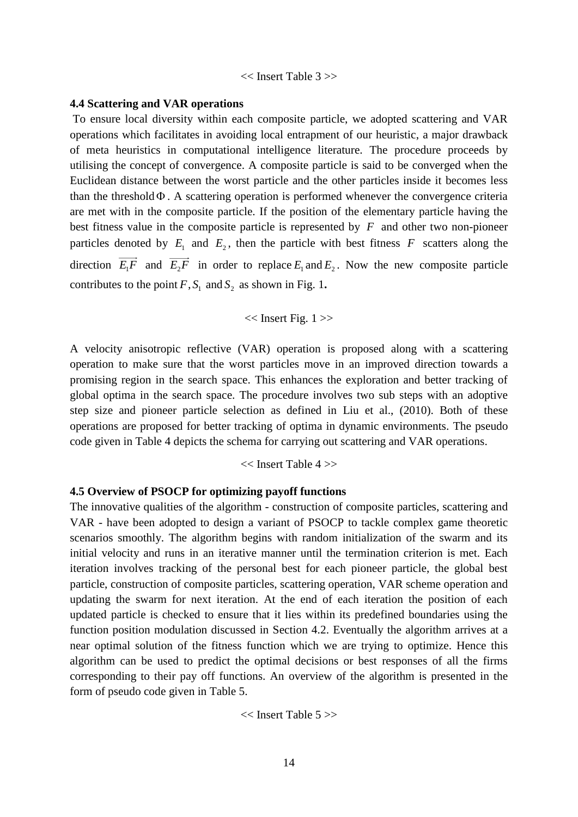$<<$  Insert Table 3 $>>$ 

#### **4.4 Scattering and VAR operations**

To ensure local diversity within each composite particle, we adopted scattering and VAR operations which facilitates in avoiding local entrapment of our heuristic, a major drawback of meta heuristics in computational intelligence literature. The procedure proceeds by utilising the concept of convergence. A composite particle is said to be converged when the Euclidean distance between the worst particle and the other particles inside it becomes less than the threshold . A scattering operation is performed whenever the convergence criteria are met with in the composite particle. If the position of the elementary particle having the best fitness value in the composite particle is represented by  $F$  and other two non-pioneer particles denoted by  $E_1$  and  $E_2$ , then the particle with best fitness F scatters along the direction  $E_1 F$  and  $E_2 F$  in order to replace  $E_1$  and  $E_2$ . Now the new composite particle contributes to the point  $F$ ,  $S_1$  and  $S_2$  as shown in Fig. 1.

 $<<$  Insert Fig. 1 $>>$ 

A velocity anisotropic reflective (VAR) operation is proposed along with a scattering operation to make sure that the worst particles move in an improved direction towards a promising region in the search space. This enhances the exploration and better tracking of global optima in the search space. The procedure involves two sub steps with an adoptive step size and pioneer particle selection as defined in Liu et al., (2010). Both of these operations are proposed for better tracking of optima in dynamic environments. The pseudo code given in Table 4 depicts the schema for carrying out scattering and VAR operations.

<< Insert Table 4 >>

#### **4.5 Overview of PSOCP for optimizing payoff functions**

The innovative qualities of the algorithm - construction of composite particles, scattering and VAR - have been adopted to design a variant of PSOCP to tackle complex game theoretic scenarios smoothly. The algorithm begins with random initialization of the swarm and its initial velocity and runs in an iterative manner until the termination criterion is met. Each iteration involves tracking of the personal best for each pioneer particle, the global best particle, construction of composite particles, scattering operation, VAR scheme operation and updating the swarm for next iteration. At the end of each iteration the position of each updated particle is checked to ensure that it lies within its predefined boundaries using the function position modulation discussed in Section 4.2. Eventually the algorithm arrives at a near optimal solution of the fitness function which we are trying to optimize. Hence this algorithm can be used to predict the optimal decisions or best responses of all the firms corresponding to their pay off functions. An overview of the algorithm is presented in the form of pseudo code given in Table 5.

<< Insert Table 5 >>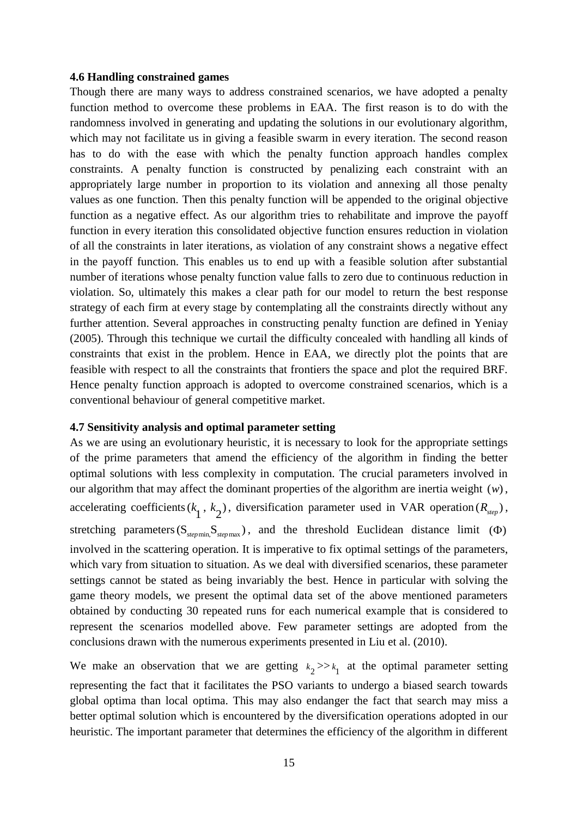#### **4.6 Handling constrained games**

Though there are many ways to address constrained scenarios, we have adopted a penalty function method to overcome these problems in EAA. The first reason is to do with the randomness involved in generating and updating the solutions in our evolutionary algorithm, which may not facilitate us in giving a feasible swarm in every iteration. The second reason has to do with the ease with which the penalty function approach handles complex constraints. A penalty function is constructed by penalizing each constraint with an appropriately large number in proportion to its violation and annexing all those penalty values as one function. Then this penalty function will be appended to the original objective function as a negative effect. As our algorithm tries to rehabilitate and improve the payoff function in every iteration this consolidated objective function ensures reduction in violation of all the constraints in later iterations, as violation of any constraint shows a negative effect in the payoff function. This enables us to end up with a feasible solution after substantial number of iterations whose penalty function value falls to zero due to continuous reduction in violation. So, ultimately this makes a clear path for our model to return the best response strategy of each firm at every stage by contemplating all the constraints directly without any further attention. Several approaches in constructing penalty function are defined in Yeniay (2005). Through this technique we curtail the difficulty concealed with handling all kinds of constraints that exist in the problem. Hence in EAA, we directly plot the points that are feasible with respect to all the constraints that frontiers the space and plot the required BRF. Hence penalty function approach is adopted to overcome constrained scenarios, which is a conventional behaviour of general competitive market.

#### **4.7 Sensitivity analysis and optimal parameter setting**

As we are using an evolutionary heuristic, it is necessary to look for the appropriate settings of the prime parameters that amend the efficiency of the algorithm in finding the better optimal solutions with less complexity in computation. The crucial parameters involved in our algorithm that may affect the dominant properties of the algorithm are inertia weight  $(w)$ , accelerating coefficients  $(k_1, k_2)$ , diversification parameter used in VAR operation  $(R_{\text{step}})$ , stretching parameters  $(S_{\text{step min}} S_{\text{step max}})$ , and the threshold Euclidean distance limit ( $\Phi$ ) involved in the scattering operation. It is imperative to fix optimal settings of the parameters, which vary from situation to situation. As we deal with diversified scenarios, these parameter settings cannot be stated as being invariably the best. Hence in particular with solving the game theory models, we present the optimal data set of the above mentioned parameters obtained by conducting 30 repeated runs for each numerical example that is considered to represent the scenarios modelled above. Few parameter settings are adopted from the conclusions drawn with the numerous experiments presented in Liu et al. (2010).

We make an observation that we are getting  $k_2 \gg k_1$  at the optimal parameter setting representing the fact that it facilitates the PSO variants to undergo a biased search towards global optima than local optima. This may also endanger the fact that search may miss a better optimal solution which is encountered by the diversification operations adopted in our heuristic. The important parameter that determines the efficiency of the algorithm in different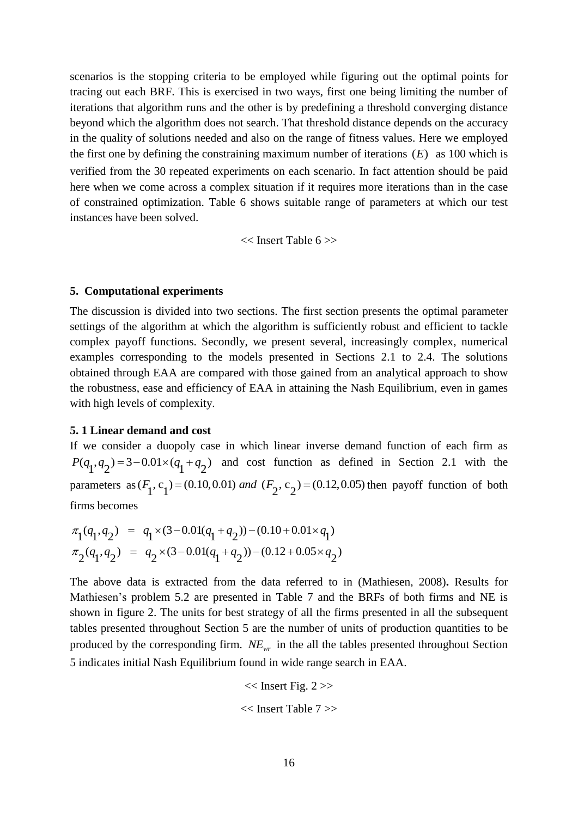scenarios is the stopping criteria to be employed while figuring out the optimal points for tracing out each BRF. This is exercised in two ways, first one being limiting the number of iterations that algorithm runs and the other is by predefining a threshold converging distance beyond which the algorithm does not search. That threshold distance depends on the accuracy in the quality of solutions needed and also on the range of fitness values. Here we employed the first one by defining the constraining maximum number of iterations  $(E)$  as 100 which is verified from the 30 repeated experiments on each scenario. In fact attention should be paid here when we come across a complex situation if it requires more iterations than in the case of constrained optimization. Table 6 shows suitable range of parameters at which our test instances have been solved.

<< Insert Table 6 >>

#### **5. Computational experiments**

The discussion is divided into two sections. The first section presents the optimal parameter settings of the algorithm at which the algorithm is sufficiently robust and efficient to tackle complex payoff functions. Secondly, we present several, increasingly complex, numerical examples corresponding to the models presented in Sections 2.1 to 2.4. The solutions obtained through EAA are compared with those gained from an analytical approach to show the robustness, ease and efficiency of EAA in attaining the Nash Equilibrium, even in games with high levels of complexity.

#### **5. 1 Linear demand and cost**

If we consider a duopoly case in which linear inverse demand function of each firm as (*n* we consider a duopoly call  $P(q_1, q_2) = 3 - 0.01 \times (q_1 + q_2)$  $-0.01 \times (q_1 + q_2)$  and cost function as defined in Section 2.1 with the  $(F_1, c_1) = (0.10, 0.01)$  *and*  $(F_2, c_2) = (0.12, 0.05)$  then payoff function of both parameters as  $(F_1, c_1) = (0.10, 0.01)$  and  $(F_2, c_2) = (0.12, 0.05)$  then payoff function of both firms becomes

forms becomes

\n
$$
\pi_1(q_1, q_2) = q_1 \times (3 - 0.01(q_1 + q_2)) - (0.10 + 0.01 \times q_1)
$$
\n
$$
\pi_2(q_1, q_2) = q_2 \times (3 - 0.01(q_1 + q_2)) - (0.12 + 0.05 \times q_2)
$$

The above data is extracted from the data referred to in (Mathiesen, 2008)**.** Results for Mathiesen's problem 5.2 are presented in Table 7 and the BRFs of both firms and NE is shown in figure 2. The units for best strategy of all the firms presented in all the subsequent tables presented throughout Section 5 are the number of units of production quantities to be produced by the corresponding firm.  $NE_{wr}$  in the all the tables presented throughout Section 5 indicates initial Nash Equilibrium found in wide range search in EAA.

> $<<$  Insert Fig. 2 $>>$ << Insert Table 7 >>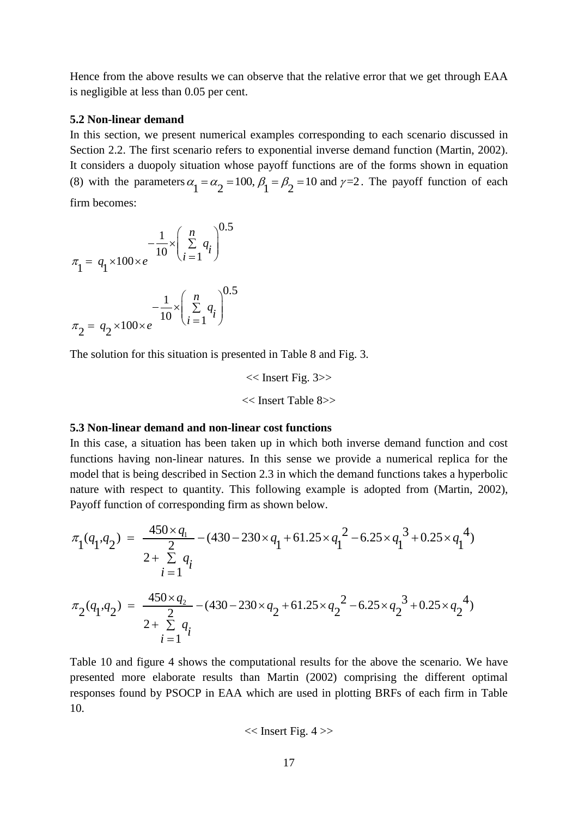Hence from the above results we can observe that the relative error that we get through EAA is negligible at less than 0.05 per cent.

#### **5.2 Non-linear demand**

In this section, we present numerical examples corresponding to each scenario discussed in Section 2.2. The first scenario refers to exponential inverse demand function (Martin, 2002). It considers a duopoly situation whose payoff functions are of the forms shown in equation (8) with the parameters ituation whose payoff functions are of the forms shown in equation  $\alpha_1 = \alpha_2 = 100$ ,  $\beta_1 = \beta_2 = 10$  and  $\gamma = 2$ . The payoff function of each firm becomes:

$$
\pi_1 = q_1 \times 100 \times e^{-\frac{1}{10} \times \left(\sum\limits_{i=1}^{n} q_i\right)^{0.5}}
$$

$$
\pi_2 = q_2 \times 100 \times e^{-\frac{1}{10} \times \left(\sum\limits_{i=1}^{n} q_i\right)^{0.5}}
$$

The solution for this situation is presented in Table 8 and Fig. 3.

<< Insert Fig. 3>> << Insert Table 8>>

#### **5.3 Non-linear demand and non-linear cost functions**

In this case, a situation has been taken up in which both inverse demand function and cost functions having non-linear natures. In this sense we provide a numerical replica for the model that is being described in Section 2.3 in which the demand functions takes a hyperbolic nature with respect to quantity. This following example is adopted from (Martin, 2002), Payoff function of corresponding firm as shown below.

Consider that is being described in Section 2.5 in which the demand functions takes a hyperbolic nature with respect to quantity. This following example is adopted from (Martin, 2002), Payoff function of corresponding firm as shown below.

\n
$$
\pi_1(q_1, q_2) = \frac{450 \times q_1}{2} - (430 - 230 \times q_1 + 61.25 \times q_1^2 - 6.25 \times q_1^3 + 0.25 \times q_1^4)
$$
\n
$$
2 + \sum_{i=1}^{8} q_i
$$
\n
$$
\pi_2(q_1, q_2) = \frac{450 \times q_2}{2} - (430 - 230 \times q_2 + 61.25 \times q_2^2 - 6.25 \times q_2^3 + 0.25 \times q_2^4)
$$
\n
$$
2 + \sum_{i=1}^{8} q_i
$$

Table 10 and figure 4 shows the computational results for the above the scenario. We have presented more elaborate results than Martin (2002) comprising the different optimal responses found by PSOCP in EAA which are used in plotting BRFs of each firm in Table 10.

$$
\ll
$$
 Insert Fig. 4  $\gg$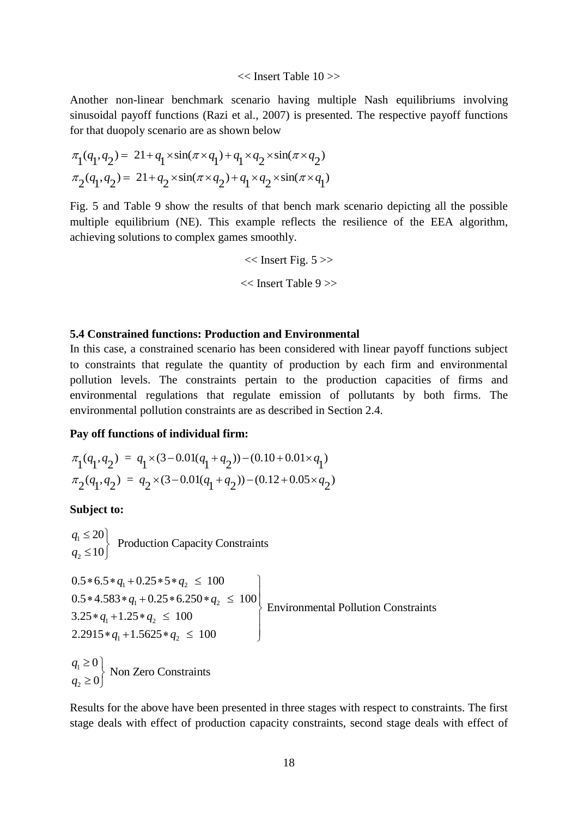#### $<<$  Insert Table 10 $>>$

Another non-linear benchmark scenario having multiple Nash equilibriums involving sinusoidal payoff functions (Razi et al., 2007) is presented. The respective payoff functions

for that duopoly scenario are as shown below  
\n
$$
\pi_1(q_1, q_2) = 21 + q_1 \times \sin(\pi \times q_1) + q_1 \times q_2 \times \sin(\pi \times q_2)
$$
\n
$$
\pi_2(q_1, q_2) = 21 + q_2 \times \sin(\pi \times q_2) + q_1 \times q_2 \times \sin(\pi \times q_1)
$$

Fig. 5 and Table 9 show the results of that bench mark scenario depicting all the possible multiple equilibrium (NE). This example reflects the resilience of the EEA algorithm, achieving solutions to complex games smoothly.

$$
\langle\langle \text{Insert Fig. 5} \rangle\rangle
$$
  

$$
\langle \text{Insert Table 9} \rangle
$$

#### **5.4 Constrained functions: Production and Environmental**

In this case, a constrained scenario has been considered with linear payoff functions subject to constraints that regulate the quantity of production by each firm and environmental pollution levels. The constraints pertain to the production capacities of firms and environmental regulations that regulate emission of pollutants by both firms. The environmental pollution constraints are as described in Section 2.4.

Pay off functions of individual firm:  
\n
$$
\pi_1(q_1, q_2) = q_1 \times (3 - 0.01(q_1 + q_2)) - (0.10 + 0.01 \times q_1)
$$
\n
$$
\pi_2(q_1, q_2) = q_2 \times (3 - 0.01(q_1 + q_2)) - (0.12 + 0.05 \times q_2)
$$

#### **Subject to:**

$$
q_1 \le 20
$$
   
\n $q_2 \le 10$    
\nProduction Capacity Constraints  
\n $0.5 * 6.5 * q_1 + 0.25 * 5 * q_2 \le 100$   
\n $0.5 * 4.583 * q_1 + 0.25 * 6.250 * q_2 \le 100$ 

 $q_1 + 0.25 * 5 * q_2$  $10.25 * 5 * q_2 \le 100$ <br>  $1_1 + 0.25 * 6.250 * q_2$  $583 * q_1 + 0.$ <br> $q_1 + 1.25 * q_2$  $1.25 \cdot q_2 \le 1$ <br>  $q_1 + 1.5625 \cdot q_2$  $q_2 \le 10$ <br>  $0.5 * 6.5 * q_1 + 0.25 * 5 * q_2 \le 100$ <br>  $0.5 * 4.583 * q_1 + 0.25 * 6.250 * q_2 \le 100$ <br>
Environmental Pollution Constraints  $0.5 * 6.5 * q_1 + 0.25 * 5 * q_2$ <br>  $0.5 * 4.583 * q_1 + 0.25 * 6.23$ <br>  $3.25 * q_1 + 1.25 * q_2 \le 100$  $0.5 * 4.583 * q_1 + 0.25 * 6.250 * q$ <br>  $3.25 * q_1 + 1.25 * q_2 \le 100$ <br>  $2.2915 * q_1 + 1.5625 * q_2 \le 100$  $+0.25 * 5 * q_2 \le 10$ <br> $q_1 + 0.25 * 6.250 * q$  $.5 * q_1 + 0.2$ <br>  $.583 * q_1 + 0$ <br>  $q_1 + 1.25 * q$  $33 * q_1 + 0.25 *$ <br>+1.25  $* q_2 \le$ <br> $q_1 + 1.5625 * q$ \times 10]<br>\*6.5 \*  $q_1$  + 0.25 \* 5 \*  $q_2$  \left[100]<br>\*4.583 \*  $q_1$  + 0.25 \* 6.250 \*  $q_2$  \left[100] Environ  $6.5 * q_1 + 0.25 * 5 * q_2 \le 100$ <br>  $4.583 * q_1 + 0.25 * 6.250 * q_2 \le 100$ <br>  $* q_1 + 1.25 * q_2 \le 100$  $583 * q_1 + 0.25 * 6.250 * q_2 \le 100$ <br>  $\begin{cases} \n\frac{1}{1} + 1.25 * q_2 \le 100 \\
\frac{1}{1} + 1.5625 * q_2 \le 100\n\end{cases}$ J 1 2 0 Non Zero Constraints 0 *q q*  $\geq 0$  $\geq 0$ 

Results for the above have been presented in three stages with respect to constraints. The first stage deals with effect of production capacity constraints, second stage deals with effect of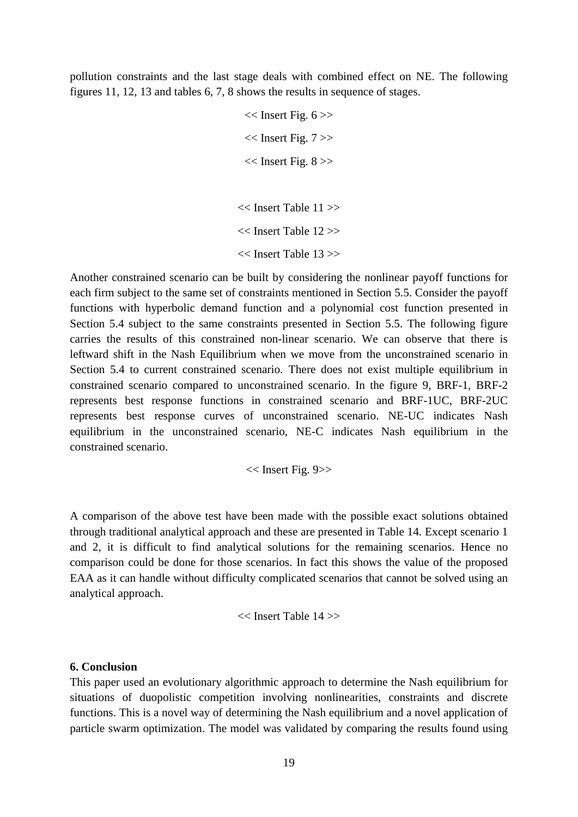pollution constraints and the last stage deals with combined effect on NE. The following figures 11, 12, 13 and tables 6, 7, 8 shows the results in sequence of stages.

```
<< Insert Fig. 6>><< Insert Fig. 7 >>
 << Insert Fig. 8>><< Insert Table 11 >>
<< Insert Table 12>><< Insert Table 13 >>
```
Another constrained scenario can be built by considering the nonlinear payoff functions for each firm subject to the same set of constraints mentioned in Section 5.5. Consider the payoff functions with hyperbolic demand function and a polynomial cost function presented in Section 5.4 subject to the same constraints presented in Section 5.5. The following figure carries the results of this constrained non-linear scenario. We can observe that there is leftward shift in the Nash Equilibrium when we move from the unconstrained scenario in Section 5.4 to current constrained scenario. There does not exist multiple equilibrium in constrained scenario compared to unconstrained scenario. In the figure 9, BRF-1, BRF-2 represents best response functions in constrained scenario and BRF-1UC, BRF-2UC represents best response curves of unconstrained scenario. NE-UC indicates Nash equilibrium in the unconstrained scenario, NE-C indicates Nash equilibrium in the constrained scenario.

 $<<$  Insert Fig. 9>>

A comparison of the above test have been made with the possible exact solutions obtained through traditional analytical approach and these are presented in Table 14. Except scenario 1 and 2, it is difficult to find analytical solutions for the remaining scenarios. Hence no comparison could be done for those scenarios. In fact this shows the value of the proposed EAA as it can handle without difficulty complicated scenarios that cannot be solved using an analytical approach.

$$
\ll
$$
 Insert Table 14  $>$ 

#### **6. Conclusion**

This paper used an evolutionary algorithmic approach to determine the Nash equilibrium for situations of duopolistic competition involving nonlinearities, constraints and discrete functions. This is a novel way of determining the Nash equilibrium and a novel application of particle swarm optimization. The model was validated by comparing the results found using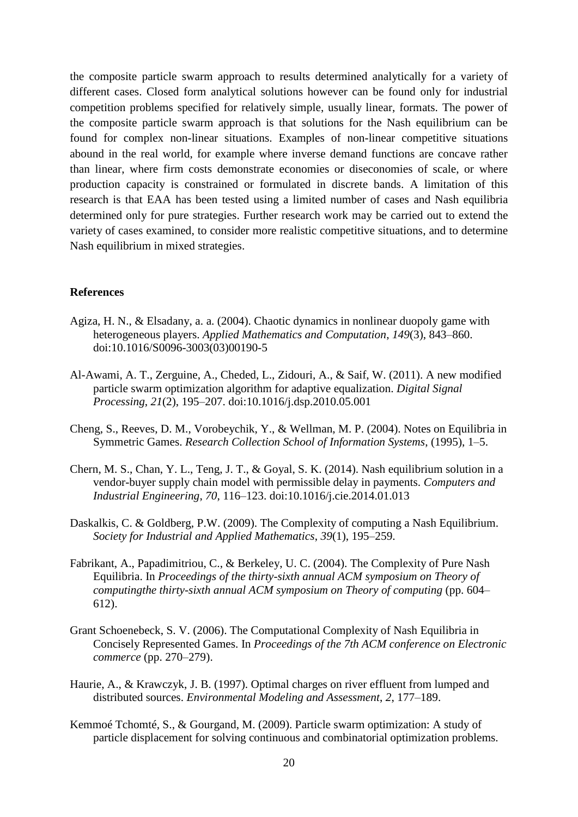the composite particle swarm approach to results determined analytically for a variety of different cases. Closed form analytical solutions however can be found only for industrial competition problems specified for relatively simple, usually linear, formats. The power of the composite particle swarm approach is that solutions for the Nash equilibrium can be found for complex non-linear situations. Examples of non-linear competitive situations abound in the real world, for example where inverse demand functions are concave rather than linear, where firm costs demonstrate economies or diseconomies of scale, or where production capacity is constrained or formulated in discrete bands. A limitation of this research is that EAA has been tested using a limited number of cases and Nash equilibria determined only for pure strategies. Further research work may be carried out to extend the variety of cases examined, to consider more realistic competitive situations, and to determine Nash equilibrium in mixed strategies.

#### **References**

- Agiza, H. N., & Elsadany, a. a. (2004). Chaotic dynamics in nonlinear duopoly game with heterogeneous players. *Applied Mathematics and Computation*, *149*(3), 843–860. doi:10.1016/S0096-3003(03)00190-5
- Al-Awami, A. T., Zerguine, A., Cheded, L., Zidouri, A., & Saif, W. (2011). A new modified particle swarm optimization algorithm for adaptive equalization. *Digital Signal Processing*, *21*(2), 195–207. doi:10.1016/j.dsp.2010.05.001
- Cheng, S., Reeves, D. M., Vorobeychik, Y., & Wellman, M. P. (2004). Notes on Equilibria in Symmetric Games. *Research Collection School of Information Systems*, (1995), 1–5.
- Chern, M. S., Chan, Y. L., Teng, J. T., & Goyal, S. K. (2014). Nash equilibrium solution in a vendor-buyer supply chain model with permissible delay in payments. *Computers and Industrial Engineering*, *70*, 116–123. doi:10.1016/j.cie.2014.01.013
- Daskalkis, C. & Goldberg, P.W. (2009). The Complexity of computing a Nash Equilibrium. *Society for Industrial and Applied Mathematics*, *39*(1), 195–259.
- Fabrikant, A., Papadimitriou, C., & Berkeley, U. C. (2004). The Complexity of Pure Nash Equilibria. In *Proceedings of the thirty-sixth annual ACM symposium on Theory of computingthe thirty-sixth annual ACM symposium on Theory of computing* (pp. 604– 612).
- Grant Schoenebeck, S. V. (2006). The Computational Complexity of Nash Equilibria in Concisely Represented Games. In *Proceedings of the 7th ACM conference on Electronic commerce* (pp. 270–279).
- Haurie, A., & Krawczyk, J. B. (1997). Optimal charges on river effluent from lumped and distributed sources. *Environmental Modeling and Assessment*, *2*, 177–189.
- Kemmoé Tchomté, S., & Gourgand, M. (2009). Particle swarm optimization: A study of particle displacement for solving continuous and combinatorial optimization problems.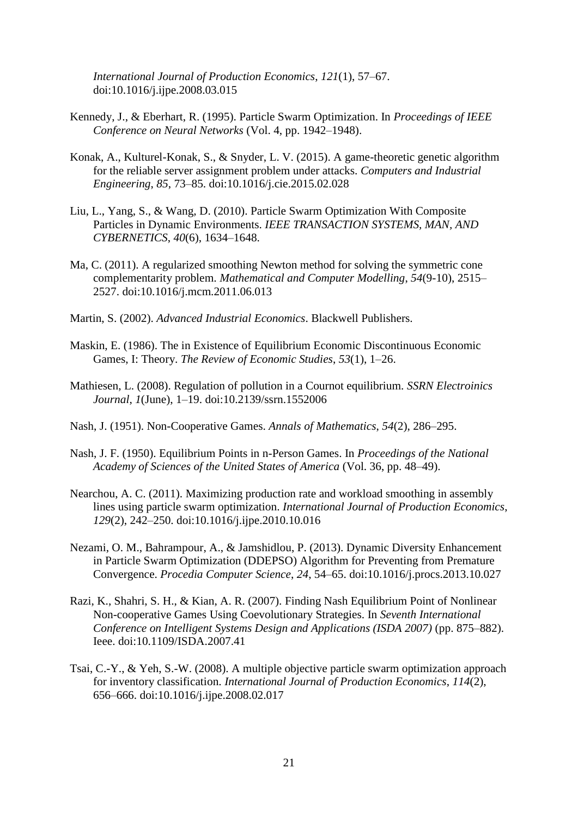*International Journal of Production Economics*, *121*(1), 57–67. doi:10.1016/j.ijpe.2008.03.015

- Kennedy, J., & Eberhart, R. (1995). Particle Swarm Optimization. In *Proceedings of IEEE Conference on Neural Networks* (Vol. 4, pp. 1942–1948).
- Konak, A., Kulturel-Konak, S., & Snyder, L. V. (2015). A game-theoretic genetic algorithm for the reliable server assignment problem under attacks. *Computers and Industrial Engineering*, *85*, 73–85. doi:10.1016/j.cie.2015.02.028
- Liu, L., Yang, S., & Wang, D. (2010). Particle Swarm Optimization With Composite Particles in Dynamic Environments. *IEEE TRANSACTION SYSTEMS, MAN, AND CYBERNETICS*, *40*(6), 1634–1648.
- Ma, C. (2011). A regularized smoothing Newton method for solving the symmetric cone complementarity problem. *Mathematical and Computer Modelling*, *54*(9-10), 2515– 2527. doi:10.1016/j.mcm.2011.06.013
- Martin, S. (2002). *Advanced Industrial Economics*. Blackwell Publishers.
- Maskin, E. (1986). The in Existence of Equilibrium Economic Discontinuous Economic Games, I: Theory. *The Review of Economic Studies*, *53*(1), 1–26.
- Mathiesen, L. (2008). Regulation of pollution in a Cournot equilibrium. *SSRN Electroinics Journal*, *1*(June), 1–19. doi:10.2139/ssrn.1552006
- Nash, J. (1951). Non-Cooperative Games. *Annals of Mathematics*, *54*(2), 286–295.
- Nash, J. F. (1950). Equilibrium Points in n-Person Games. In *Proceedings of the National Academy of Sciences of the United States of America* (Vol. 36, pp. 48–49).
- Nearchou, A. C. (2011). Maximizing production rate and workload smoothing in assembly lines using particle swarm optimization. *International Journal of Production Economics*, *129*(2), 242–250. doi:10.1016/j.ijpe.2010.10.016
- Nezami, O. M., Bahrampour, A., & Jamshidlou, P. (2013). Dynamic Diversity Enhancement in Particle Swarm Optimization (DDEPSO) Algorithm for Preventing from Premature Convergence. *Procedia Computer Science*, *24*, 54–65. doi:10.1016/j.procs.2013.10.027
- Razi, K., Shahri, S. H., & Kian, A. R. (2007). Finding Nash Equilibrium Point of Nonlinear Non-cooperative Games Using Coevolutionary Strategies. In *Seventh International Conference on Intelligent Systems Design and Applications (ISDA 2007)* (pp. 875–882). Ieee. doi:10.1109/ISDA.2007.41
- Tsai, C.-Y., & Yeh, S.-W. (2008). A multiple objective particle swarm optimization approach for inventory classification. *International Journal of Production Economics*, *114*(2), 656–666. doi:10.1016/j.ijpe.2008.02.017